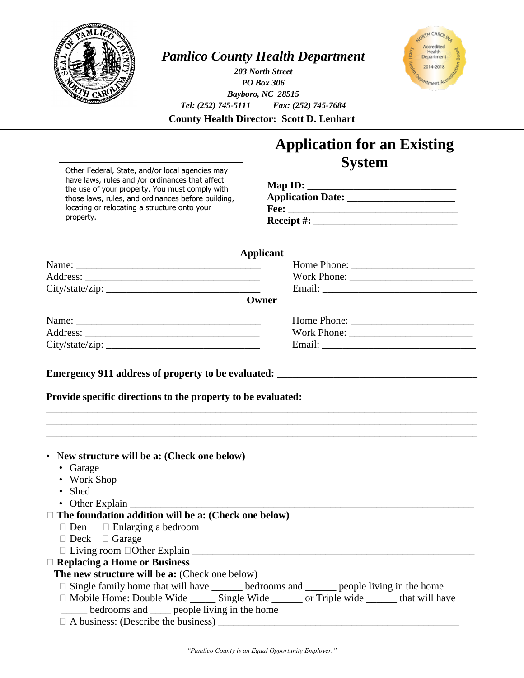

## *Pamlico County Health Department*

*203 North Street PO Box 306 Bayboro, NC 28515 Tel: (252) 745-5111 Fax: (252) 745-7684*



**County Health Director: Scott D. Lenhart**

## **Application for an Existing System**

Other Federal, State, and/or local agencies may have laws, rules and /or ordinances that affect the use of your property. You must comply with those laws, rules, and ordinances before building, locating or relocating a structure onto your property.

## **Map ID:** \_\_\_\_\_\_\_\_\_\_\_\_\_\_\_\_\_\_\_\_\_\_\_\_\_\_\_\_\_ **Application Date:** \_\_\_\_\_\_\_\_\_\_\_\_\_\_\_\_\_\_\_\_\_ **Fee:** \_\_\_\_\_\_\_\_\_\_\_\_\_\_\_\_\_\_\_\_\_\_\_\_\_\_\_\_\_\_\_\_\_  **Receipt #:** \_\_\_\_\_\_\_\_\_\_\_\_\_\_\_\_\_\_\_\_\_\_\_\_\_\_\_\_

| <b>Applicant</b>                                                                                          |                                                                                                  |
|-----------------------------------------------------------------------------------------------------------|--------------------------------------------------------------------------------------------------|
|                                                                                                           |                                                                                                  |
|                                                                                                           |                                                                                                  |
| City/state/zip:                                                                                           |                                                                                                  |
|                                                                                                           | Owner                                                                                            |
| Name:                                                                                                     |                                                                                                  |
|                                                                                                           |                                                                                                  |
| City/state/zip:                                                                                           |                                                                                                  |
|                                                                                                           |                                                                                                  |
| Provide specific directions to the property to be evaluated:                                              |                                                                                                  |
|                                                                                                           |                                                                                                  |
| • New structure will be a: (Check one below)<br>• Garage<br><b>Work Shop</b><br>• Shed<br>• Other Explain |                                                                                                  |
| $\Box$ The foundation addition will be a: (Check one below)                                               |                                                                                                  |
| $\Box$ Den $\Box$ Enlarging a bedroom                                                                     |                                                                                                  |
| $\Box$ Deck $\Box$ Garage                                                                                 |                                                                                                  |
|                                                                                                           |                                                                                                  |
| $\Box$ Replacing a Home or Business                                                                       |                                                                                                  |
| The new structure will be a: (Check one below)                                                            |                                                                                                  |
|                                                                                                           | $\Box$ Single family home that will have ______ bedrooms and _____ people living in the home     |
|                                                                                                           | □ Mobile Home: Double Wide ________ Single Wide _________ or Triple wide ________ that will have |
| bedrooms and ____ people living in the home                                                               |                                                                                                  |
|                                                                                                           |                                                                                                  |